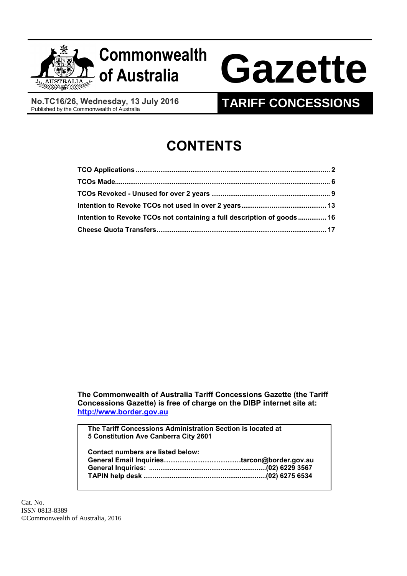

# **of Australia Gazette**

**No.TC16/26, Wednesday, 13 July 2016**<br>Published by the Commonwealth of Australia

# **TARIFF CONCESSIONS**

# **CONTENTS**

| Intention to Revoke TCOs not containing a full description of goods 16 |  |
|------------------------------------------------------------------------|--|
|                                                                        |  |

**The Commonwealth of Australia Tariff Concessions Gazette (the Tariff Concessions Gazette) is free of charge on the DIBP internet site at: [http://www.border.gov.au](http://www.border.gov.au/)**

**The Tariff Concessions Administration Section is located at 5 Constitution Ave Canberra City 2601**

| Contact numbers are listed below: |  |
|-----------------------------------|--|
|                                   |  |
|                                   |  |
|                                   |  |
|                                   |  |

Cat. No. ISSN 0813-8389 ©Commonwealth of Australia, 2016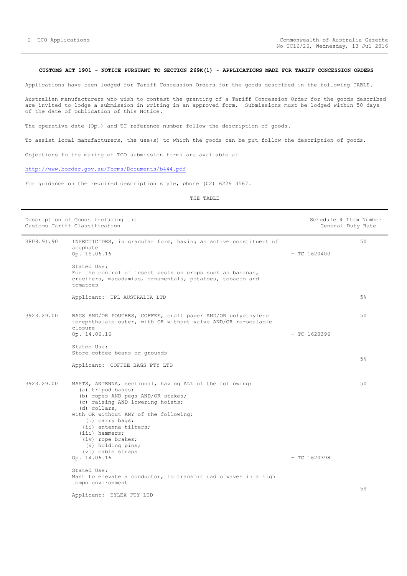# <span id="page-1-0"></span>**CUSTOMS ACT 1901 - NOTICE PURSUANT TO SECTION 269K(1) - APPLICATIONS MADE FOR TARIFF CONCESSION ORDERS**

Applications have been lodged for Tariff Concession Orders for the goods described in the following TABLE.

Australian manufacturers who wish to contest the granting of a Tariff Concession Order for the goods described are invited to lodge a submission in writing in an approved form. Submissions must be lodged within 50 days of the date of publication of this Notice.

The operative date (Op.) and TC reference number follow the description of goods.

To assist local manufacturers, the use(s) to which the goods can be put follow the description of goods.

Objections to the making of TCO submission forms are available at

# <http://www.border.gov.au/Forms/Documents/b444.pdf>

For guidance on the required description style, phone (02) 6229 3567.

|            | Description of Goods including the<br>Customs Tariff Classification                                                                                                                                                                                                                                                                                           |                | Schedule 4 Item Number<br>General Duty Rate |
|------------|---------------------------------------------------------------------------------------------------------------------------------------------------------------------------------------------------------------------------------------------------------------------------------------------------------------------------------------------------------------|----------------|---------------------------------------------|
| 3808.91.90 | INSECTICIDES, in granular form, having an active constituent of<br>acephate<br>Op. 15.06.16                                                                                                                                                                                                                                                                   | $-$ TC 1620400 | 50                                          |
|            | Stated Use:<br>For the control of insect pests on crops such as bananas,<br>crucifers, macadamias, ornamentals, potatoes, tobacco and<br>tomatoes                                                                                                                                                                                                             |                |                                             |
|            | Applicant: UPL AUSTRALIA LTD                                                                                                                                                                                                                                                                                                                                  |                | $5\%$                                       |
| 3923.29.00 | BAGS AND/OR POUCHES, COFFEE, craft paper AND/OR polyethylene<br>terephthalate outer, with OR without valve AND/OR re-sealable<br>closure<br>Op. 14.06.16                                                                                                                                                                                                      | $-$ TC 1620396 | 50                                          |
|            | Stated Use:<br>Store coffee beans or grounds<br>Applicant: COFFEE BAGS PTY LTD                                                                                                                                                                                                                                                                                |                | 5%                                          |
| 3923.29.00 | MASTS, ANTENNA, sectional, having ALL of the following:<br>(a) tripod bases;<br>(b) ropes AND pegs AND/OR stakes;<br>(c) raising AND lowering hoists;<br>(d) collars,<br>with OR without ANY of the following:<br>(i) carry bags;<br>(ii) antenna tilters;<br>$(iii)$ hammers;<br>(iv) rope brakes;<br>(v) holding pins;<br>(vi) cable straps<br>Op. 14.06.16 | $-$ TC 1620398 | 50                                          |
|            | Stated Use:                                                                                                                                                                                                                                                                                                                                                   |                |                                             |
|            | Mast to elevate a conductor, to transmit radio waves in a high<br>tempo environment                                                                                                                                                                                                                                                                           |                |                                             |
|            | Applicant: EYLEX PTY LTD                                                                                                                                                                                                                                                                                                                                      |                | 5 <sup>°</sup>                              |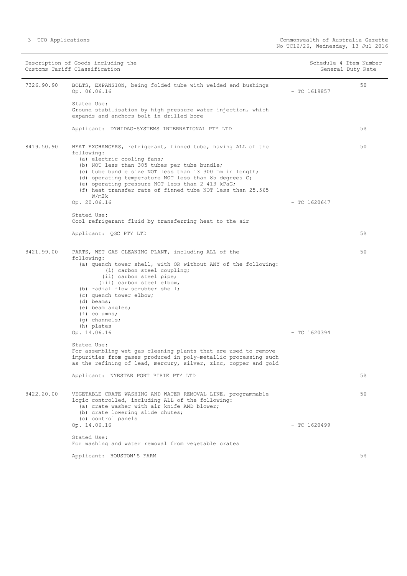|            | Description of Goods including the<br>Customs Tariff Classification                                                                                                                                                                                                                                                                                                                                                     |                | Schedule 4 Item Number<br>General Duty Rate |
|------------|-------------------------------------------------------------------------------------------------------------------------------------------------------------------------------------------------------------------------------------------------------------------------------------------------------------------------------------------------------------------------------------------------------------------------|----------------|---------------------------------------------|
| 7326.90.90 | BOLTS, EXPANSION, being folded tube with welded end bushings<br>Op. 06.06.16                                                                                                                                                                                                                                                                                                                                            | $-$ TC 1619857 | 50                                          |
|            | Stated Use:<br>Ground stabilisation by high pressure water injection, which<br>expands and anchors bolt in drilled bore                                                                                                                                                                                                                                                                                                 |                |                                             |
|            | Applicant: DYWIDAG-SYSTEMS INTERNATIONAL PTY LTD                                                                                                                                                                                                                                                                                                                                                                        |                | $5\%$                                       |
| 8419.50.90 | HEAT EXCHANGERS, refrigerant, finned tube, having ALL of the<br>following:<br>(a) electric cooling fans;<br>(b) NOT less than 305 tubes per tube bundle;<br>(c) tube bundle size NOT less than 13 300 mm in length;<br>(d) operating temperature NOT less than 85 degrees C;<br>(e) operating pressure NOT less than 2 413 kPaG;<br>(f) heat transfer rate of finned tube NOT less than 25.565<br>W/m2k<br>Op. 20.06.16 | $-$ TC 1620647 | 50                                          |
|            | Stated Use:                                                                                                                                                                                                                                                                                                                                                                                                             |                |                                             |
|            | Cool refrigerant fluid by transferring heat to the air                                                                                                                                                                                                                                                                                                                                                                  |                |                                             |
|            | Applicant: QGC PTY LTD                                                                                                                                                                                                                                                                                                                                                                                                  |                | $5\%$                                       |
| 8421.99.00 | PARTS, WET GAS CLEANING PLANT, including ALL of the<br>following:<br>(a) quench tower shell, with OR without ANY of the following:<br>(i) carbon steel coupling;<br>(ii) carbon steel pipe;<br>(iii) carbon steel elbow,<br>(b) radial flow scrubber shell;<br>(c) quench tower elbow;<br>$(d)$ beams;<br>(e) beam angles;<br>$(f)$ columns;<br>$(q)$ channels;<br>(h) plates<br>Op. 14.06.16                           | $-$ TC 1620394 | 50                                          |
|            | Stated Use:<br>For assembling wet gas cleaning plants that are used to remove<br>impurities from gases produced in poly-metallic processing such<br>as the refining of lead, mercury, silver, zinc, copper and gold                                                                                                                                                                                                     |                |                                             |
|            | Applicant: NYRSTAR PORT PIRIE PTY LTD                                                                                                                                                                                                                                                                                                                                                                                   |                | 5%                                          |
| 8422.20.00 | VEGETABLE CRATE WASHING AND WATER REMOVAL LINE, programmable<br>logic controlled, including ALL of the following:<br>(a) crate washer with air knife AND blower;<br>(b) crate lowering slide chutes;<br>(c) control panels                                                                                                                                                                                              |                | 50                                          |
|            | Op. 14.06.16                                                                                                                                                                                                                                                                                                                                                                                                            | $-$ TC 1620499 |                                             |
|            | Stated Use:<br>For washing and water removal from vegetable crates                                                                                                                                                                                                                                                                                                                                                      |                |                                             |
|            | Applicant: HOUSTON'S FARM                                                                                                                                                                                                                                                                                                                                                                                               |                | 5 <sup>°</sup>                              |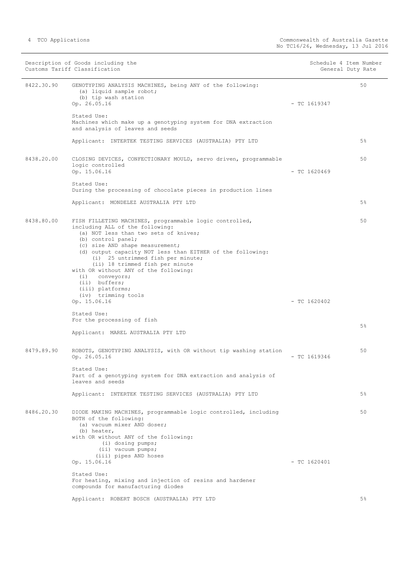| Description of Goods including the<br>Customs Tariff Classification |                                                                                                                                                                                                                                                                                                                                                                                                                                                             | Schedule 4 Item Number<br>General Duty Rate |                |
|---------------------------------------------------------------------|-------------------------------------------------------------------------------------------------------------------------------------------------------------------------------------------------------------------------------------------------------------------------------------------------------------------------------------------------------------------------------------------------------------------------------------------------------------|---------------------------------------------|----------------|
| 8422.30.90                                                          | GENOTYPING ANALYSIS MACHINES, being ANY of the following:<br>(a) liquid sample robot;<br>(b) tip wash station<br>Op. 26.05.16                                                                                                                                                                                                                                                                                                                               | $-$ TC 1619347                              | 50             |
|                                                                     | Stated Use:<br>Machines which make up a genotyping system for DNA extraction<br>and analysis of leaves and seeds                                                                                                                                                                                                                                                                                                                                            |                                             |                |
|                                                                     | Applicant: INTERTEK TESTING SERVICES (AUSTRALIA) PTY LTD                                                                                                                                                                                                                                                                                                                                                                                                    |                                             | $5\%$          |
| 8438.20.00                                                          | CLOSING DEVICES, CONFECTIONARY MOULD, servo driven, programmable<br>logic controlled<br>Op. 15.06.16                                                                                                                                                                                                                                                                                                                                                        | $-$ TC 1620469                              | 50             |
|                                                                     | Stated Use:<br>During the processing of chocolate pieces in production lines                                                                                                                                                                                                                                                                                                                                                                                |                                             |                |
|                                                                     | Applicant: MONDELEZ AUSTRALIA PTY LTD                                                                                                                                                                                                                                                                                                                                                                                                                       |                                             | $5\%$          |
| 8438.80.00                                                          | FISH FILLETING MACHINES, programmable logic controlled,<br>including ALL of the following:<br>(a) NOT less than two sets of knives;<br>(b) control panel;<br>(c) size AND shape measurement;<br>(d) output capacity NOT less than EITHER of the following:<br>(i) 25 untrimmed fish per minute;<br>(ii) 18 trimmed fish per minute<br>with OR without ANY of the following:<br>$(i)$ conveyors;<br>(ii) buffers;<br>(iii) platforms;<br>(iv) trimming tools |                                             | 50             |
|                                                                     | Op. 15.06.16<br>Stated Use:                                                                                                                                                                                                                                                                                                                                                                                                                                 | $-$ TC 1620402                              |                |
|                                                                     | For the processing of fish<br>Applicant: MAREL AUSTRALIA PTY LTD                                                                                                                                                                                                                                                                                                                                                                                            |                                             | 5 <sup>°</sup> |
| 8479.89.90                                                          | ROBOTS, GENOTYPING ANALYSIS, with OR without tip washing station<br>Op. 26.05.16                                                                                                                                                                                                                                                                                                                                                                            | $-$ TC 1619346                              | 50             |
|                                                                     | Stated Use:<br>Part of a genotyping system for DNA extraction and analysis of<br>leaves and seeds                                                                                                                                                                                                                                                                                                                                                           |                                             |                |
|                                                                     | Applicant: INTERTEK TESTING SERVICES (AUSTRALIA) PTY LTD                                                                                                                                                                                                                                                                                                                                                                                                    |                                             | $5\%$          |
| 8486.20.30                                                          | DIODE MAKING MACHINES, programmable logic controlled, including<br>BOTH of the following:<br>(a) vacuum mixer AND doser;<br>(b) heater,<br>with OR without ANY of the following:<br>(i) dosing pumps;<br>(ii) vacuum pumps;                                                                                                                                                                                                                                 |                                             | 50             |
|                                                                     | (iii) pipes AND hoses<br>Op. 15.06.16                                                                                                                                                                                                                                                                                                                                                                                                                       | $-$ TC 1620401                              |                |
|                                                                     | Stated Use:<br>For heating, mixing and injection of resins and hardener<br>compounds for manufacturing diodes                                                                                                                                                                                                                                                                                                                                               |                                             |                |
|                                                                     | Applicant: ROBERT BOSCH (AUSTRALIA) PTY LTD                                                                                                                                                                                                                                                                                                                                                                                                                 |                                             | 5 <sup>°</sup> |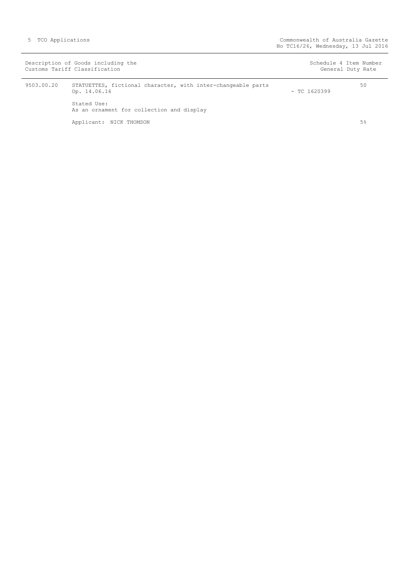|            | Description of Goods including the<br>Customs Tariff Classification          | Schedule 4 Item Number<br>General Duty Rate |    |
|------------|------------------------------------------------------------------------------|---------------------------------------------|----|
| 9503.00.20 | STATUETTES, fictional character, with inter-changeable parts<br>Op. 14.06.16 | $-$ TC 1620399                              | 50 |
|            | Stated Use:<br>As an ornament for collection and display                     |                                             |    |
|            | Applicant: NICK THOMSON                                                      |                                             | 5% |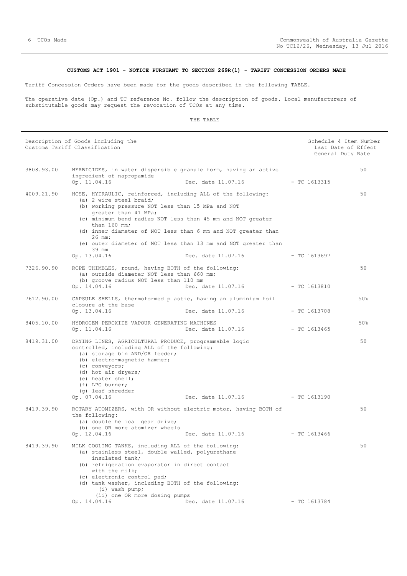# **CUSTOMS ACT 1901 - NOTICE PURSUANT TO SECTION 269R(1) - TARIFF CONCESSION ORDERS MADE**

<span id="page-5-0"></span>Tariff Concession Orders have been made for the goods described in the following TABLE.

The operative date (Op.) and TC reference No. follow the description of goods. Local manufacturers of substitutable goods may request the revocation of TCOs at any time.

| Description of Goods including the<br>Customs Tariff Classification |                                                                                                                                                                                                                                                                                                                                                                                                                               |                    | Schedule 4 Item Number<br>Last Date of Effect<br>General Duty Rate |     |
|---------------------------------------------------------------------|-------------------------------------------------------------------------------------------------------------------------------------------------------------------------------------------------------------------------------------------------------------------------------------------------------------------------------------------------------------------------------------------------------------------------------|--------------------|--------------------------------------------------------------------|-----|
| 3808.93.00                                                          | HERBICIDES, in water dispersible granule form, having an active                                                                                                                                                                                                                                                                                                                                                               |                    |                                                                    | 50  |
|                                                                     | ingredient of napropamide<br>Op. 11.04.16                                                                                                                                                                                                                                                                                                                                                                                     | Dec. date 11.07.16 | $-$ TC 1613315                                                     |     |
| 4009.21.90                                                          | HOSE, HYDRAULIC, reinforced, including ALL of the following:<br>(a) 2 wire steel braid;<br>(b) working pressure NOT less than 15 MPa and NOT<br>greater than 41 MPa;<br>(c) minimum bend radius NOT less than 45 mm and NOT greater<br>than $160$ mm;<br>(d) inner diameter of NOT less than 6 mm and NOT greater than<br>$26$ mm;<br>(e) outer diameter of NOT less than 13 mm and NOT greater than<br>39 mm<br>Op. 13.04.16 | Dec. date 11.07.16 | $-$ TC 1613697                                                     | 50  |
| 7326.90.90                                                          | ROPE THIMBLES, round, having BOTH of the following:<br>(a) outside diameter NOT less than 660 mm;<br>(b) groove radius NOT less than 110 mm<br>Op. 14.04.16                                                                                                                                                                                                                                                                   | Dec. date 11.07.16 | $-$ TC 1613810                                                     | 50  |
| 7612.90.00                                                          | CAPSULE SHELLS, thermoformed plastic, having an aluminium foil<br>closure at the base<br>Op. 13.04.16                                                                                                                                                                                                                                                                                                                         | Dec. date 11.07.16 | $-$ TC 1613708                                                     | 50% |
| 8405.10.00                                                          | HYDROGEN PEROXIDE VAPOUR GENERATING MACHINES<br>Op. 11.04.16                                                                                                                                                                                                                                                                                                                                                                  | Dec. date 11.07.16 | - TC 1613465                                                       | 50% |
| 8419.31.00                                                          | DRYING LINES, AGRICULTURAL PRODUCE, programmable logic<br>controlled, including ALL of the following:<br>(a) storage bin AND/OR feeder;<br>(b) electro-magnetic hammer;<br>(c) conveyors;<br>(d) hot air dryers;<br>(e) heater shell;<br>(f) LPG burner;<br>(q) leaf shredder<br>Op. 07.04.16                                                                                                                                 | Dec. date 11.07.16 | $-$ TC 1613190                                                     | 50  |
| 8419.39.90                                                          | ROTARY ATOMIZERS, with OR without electric motor, having BOTH of<br>the following:<br>(a) double helical gear drive;<br>(b) one OR more atomizer wheels<br>Op. 12.04.16                                                                                                                                                                                                                                                       | Dec. date 11.07.16 | $-$ TC 1613466                                                     | 50  |
| 8419.39.90                                                          | MILK COOLING TANKS, including ALL of the following:<br>(a) stainless steel, double walled, polyurethane<br>insulated tank;<br>(b) refrigeration evaporator in direct contact<br>with the milk;<br>(c) electronic control pad;<br>(d) tank washer, including BOTH of the following:<br>$(i)$ wash pump;<br>(ii) one OR more dosing pumps<br>Op. 14.04.16                                                                       | Dec. date 11.07.16 | $- TC 1613784$                                                     | 50  |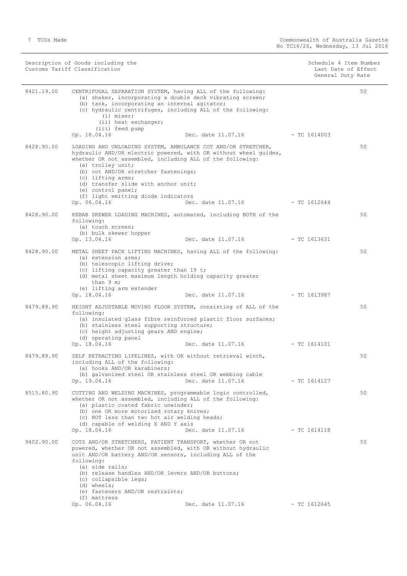Description of Goods including the Schedule 4 Item Number (Schedule 4 Item Number Customs Tariff Classification Last Date of Effect

Schedule 4 Item Number<br>Last Date of Effect<br>General Duty Rate

| 8421.19.00 | CENTRIFUGAL SEPARATION SYSTEM, having ALL of the following:<br>(a) shaker, incorporating a double deck vibrating screen;<br>(b) tank, incorporating an internal agitator;<br>(c) hydraulic centrifuges, including ALL of the following:<br>(i) mixer;<br>(ii) heat exchanger;<br>(iii) feed pump<br>Dec. date 11.07.16 - TC 1614003<br>Op. 18.04.16                                                           |                | 50 |
|------------|---------------------------------------------------------------------------------------------------------------------------------------------------------------------------------------------------------------------------------------------------------------------------------------------------------------------------------------------------------------------------------------------------------------|----------------|----|
| 8428.90.00 | LOADING AND UNLOADING SYSTEM, AMBULANCE COT AND/OR STRETCHER,<br>hydraulic AND/OR electric powered, with OR without wheel quides,<br>whether OR not assembled, including ALL of the following:<br>(a) trolley unit;<br>(b) cot AND/OR stretcher fastenings;<br>(c) lifting arms;<br>(d) transfer slide with anchor unit;<br>(e) control panel;<br>(f) light emitting diode indicators                         |                | 50 |
| 8428.90.00 | Op. 06.04.16<br>Dec. date 11.07.16<br>KEBAB SKEWER LOADING MACHINES, automated, including BOTH of the<br>following:<br>(a) touch screen;<br>(b) bulk skewer hopper                                                                                                                                                                                                                                            | $-$ TC 1612644 | 50 |
| 8428.90.00 | Op. 13.04.16<br>Dec. date 11.07.16<br>METAL SHEET PACK LIFTING MACHINES, having ALL of the following:<br>(a) extension arms;<br>(b) telescopic lifting drive;<br>(c) lifting capacity greater than 19 t;<br>(d) metal sheet maximum length holding capacity greater<br>than $9 \text{ m}$ ;<br>(e) lifting arm extender                                                                                       | - TC 1613631   | 50 |
| 8479.89.90 | Op. 18.04.16<br>Dec. date 11.07.16 - TC 1613987<br>HEIGHT ADJUSTABLE MOVING FLOOR SYSTEM, consisting of ALL of the<br>following:<br>(a) insulated glass fibre reinforced plastic floor surfaces;<br>(b) stainless steel supporting structure;<br>(c) height adjusting gears AND engine;<br>(d) operating panel<br>Op. 18.04.16<br>Dec. date $11.07.16$ - TC 1614101                                           |                | 50 |
| 8479.89.90 | SELF RETRACTING LIFELINES, with OR without retrieval winch,<br>including ALL of the following:<br>(a) hooks AND/OR karabiners;<br>(b) galvanised steel OR stainless steel OR webbing cable<br>Op. 19.04.16<br>Dec. date 11.07.16                                                                                                                                                                              | - TC 1614127   | 50 |
| 8515.80.90 | CUTTING AND WELDING MACHINES, programmable logic controlled,<br>whether OR not assembled, including ALL of the following:<br>(a) plastic coated fabric unwinder;<br>(b) one OR more motorized rotary knives;<br>(c) NOT less than two hot air welding heads;<br>(d) capable of welding X AND Y axis<br>Op. 18.04.16<br>Dec. date 11.07.16                                                                     | $-$ TC 1614118 | 50 |
| 9402.90.00 | COTS AND/OR STRETCHERS, PATIENT TRANSPORT, whether OR not<br>powered, whether OR not assembled, with OR without hydraulic<br>unit AND/OR battery AND/OR sensors, including ALL of the<br>following:<br>(a) side rails;<br>(b) release handles AND/OR levers AND/OR buttons;<br>(c) collapsible legs;<br>(d) wheels;<br>(e) fasteners AND/OR restraints;<br>(f) mattress<br>Op. 06.04.16<br>Dec. date 11.07.16 | $-$ TC 1612645 | 50 |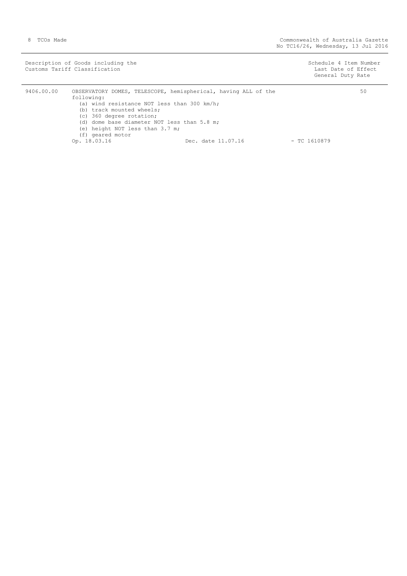Description of Goods including the Schedule 4 Item Number (Schedule 4 Item Number Customs Tariff Classification Last Date of Effect

General Duty Rate

| 9406.00.00 | OBSERVATORY DOMES, TELESCOPE, hemispherical, having ALL of the<br>following: |                    | 50             |
|------------|------------------------------------------------------------------------------|--------------------|----------------|
|            | (a) wind resistance NOT less than 300 km/h;<br>(b) track mounted wheels;     |                    |                |
|            | (c) 360 degree rotation;<br>(d) dome base diameter NOT less than 5.8 m;      |                    |                |
|            | (e) height NOT less than 3.7 m;<br>(f) geared motor                          |                    |                |
|            | Op. 18.03.16                                                                 | Dec. date 11.07.16 | $-$ TC 1610879 |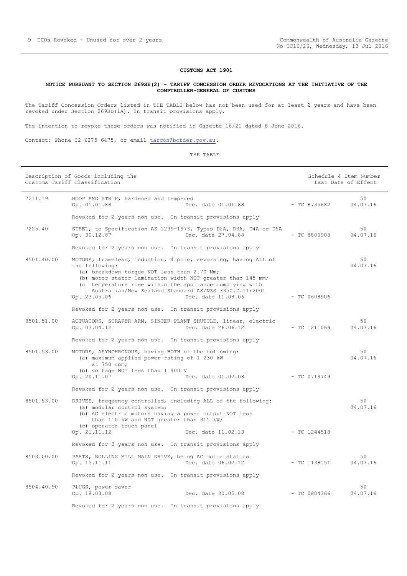#### **CUSTOMS ACT 1901**

#### <span id="page-8-0"></span>**NOTICE PURSUANT TO SECTION 269SE(2) - TARIFF CONCESSION ORDER REVOCATIONS AT THE INITIATIVE OF THE COMPTROLLER-GENERAL OF CUSTOMS**

The Tariff Concession Orders listed in THE TABLE below has not been used for at least 2 years and have been revoked under Section 269SD(1A). In transit provisions apply.

The intention to revoke these orders was notified in Gazette 16/21 dated 8 June 2016.

Contact: Phone 02 6275 6475, or email [tarcon@border.gov.au.](mailto:tarcon@border.gov.au)

|            | Description of Goods including the<br>Customs Tariff Classification                                                                                                                                                                                                                                                                                     |                | Schedule 4 Item Number<br>Last Date of Effect |
|------------|---------------------------------------------------------------------------------------------------------------------------------------------------------------------------------------------------------------------------------------------------------------------------------------------------------------------------------------------------------|----------------|-----------------------------------------------|
| 7211.19    | HOOP AND STRIP, hardened and tempered<br>Op. 01.01.88<br>Dec. date 01.01.88                                                                                                                                                                                                                                                                             | - TC 8735682   | 50<br>04.07.16                                |
|            | Revoked for 2 years non use. In transit provisions apply                                                                                                                                                                                                                                                                                                |                |                                               |
| 7225.40    | STEEL, to Specification AS 1239-1973, Types D2A, D3A, D4A or D5A<br>Op. 30.12.87<br>Dec. date 27.04.88                                                                                                                                                                                                                                                  | $-$ TC 8800908 | 50<br>04.07.16                                |
|            | Revoked for 2 years non use. In transit provisions apply                                                                                                                                                                                                                                                                                                |                |                                               |
| 8501.40.00 | MOTORS, frameless, induction, 4 pole, reversing, having ALL of<br>the following:<br>(a) breakdown torque NOT less than 2.70 Nm;<br>(b) motor stator lamination width NOT greater than 145 mm;<br>(c temperature rise within the appliance complying with<br>Australian/New Zealand Standard AS/NZS 3350.2.11:2001<br>Dec. date 11.08.06<br>Op. 23.05.06 | $-$ TC 0608906 | 50<br>04.07.16                                |
|            | Revoked for 2 years non use. In transit provisions apply                                                                                                                                                                                                                                                                                                |                |                                               |
| 8501.51.00 | ACTUATORS, SCRAPER ARM, SINTER PLANT SHUTTLE, linear, electric<br>Op. 03.04.12<br>Dec. date 26.06.12                                                                                                                                                                                                                                                    | $-$ TC 1211069 | 50<br>04.07.16                                |
|            | Revoked for 2 years non use. In transit provisions apply                                                                                                                                                                                                                                                                                                |                |                                               |
| 8501.53.00 | MOTORS, ASYNCHRONOUS, having BOTH of the following:<br>(a) maximum applied power rating of 1 230 kW<br>at 750 rpm;<br>(b) voltage NOT less than 1 400 V                                                                                                                                                                                                 |                | 50<br>04.07.16                                |
|            | Op. 20.11.07<br>Dec. date 01.02.08                                                                                                                                                                                                                                                                                                                      | $-$ TC 0719749 |                                               |
|            | Revoked for 2 years non use. In transit provisions apply                                                                                                                                                                                                                                                                                                |                |                                               |
| 8501.53.00 | DRIVES, frequency controlled, including ALL of the following:<br>(a) modular control system;<br>(b) AC electric motors having a power output NOT less<br>than 110 kW and NOT greater than 315 kW;<br>(c) operator touch panel                                                                                                                           |                | 50<br>04.07.16                                |
|            | Op. 21.11.12<br>Dec. date 11.02.13                                                                                                                                                                                                                                                                                                                      | $-$ TC 1244518 |                                               |
|            | Revoked for 2 years non use. In transit provisions apply                                                                                                                                                                                                                                                                                                |                |                                               |
| 8503.00.00 | PARTS, ROLLING MILL MAIN DRIVE, being AC motor stators<br>Dec. date 06.02.12<br>Op. 15.11.11                                                                                                                                                                                                                                                            | $-$ TC 1138151 | 50<br>04.07.16                                |
|            | Revoked for 2 years non use. In transit provisions apply                                                                                                                                                                                                                                                                                                |                |                                               |
| 8504.40.90 | PLUGS, power saver<br>Dec. date 30.05.08<br>Op. 18.03.08                                                                                                                                                                                                                                                                                                | $-$ TC 0804366 | 50<br>04.07.16                                |
|            | Revoked for 2 years non use. In transit provisions apply                                                                                                                                                                                                                                                                                                |                |                                               |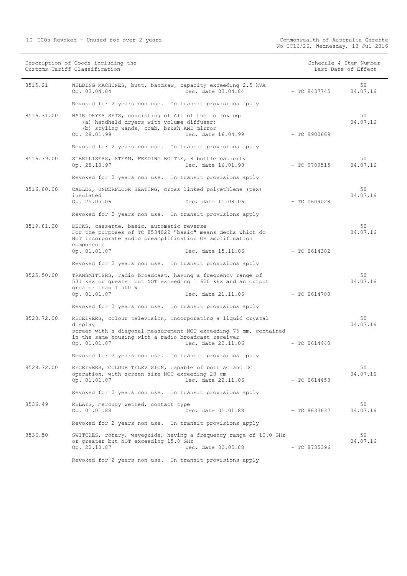|            | Description of Goods including the<br>Customs Tariff Classification                                                                                                                  |                | Schedule 4 Item Number<br>Last Date of Effect |
|------------|--------------------------------------------------------------------------------------------------------------------------------------------------------------------------------------|----------------|-----------------------------------------------|
| 8515.21    | WELDING MACHINES, butt, bandsaw, capacity exceeding 2.5 kVA<br>Dec. date 03.04.84<br>Op. 03.04.84                                                                                    | $-$ TC 8437745 | 50<br>04.07.16                                |
|            | Revoked for 2 years non use. In transit provisions apply                                                                                                                             |                |                                               |
| 8516.31.00 | HAIR DRYER SETS, consisting of All of the following:<br>(a) handheld dryers with volume diffuser;<br>(b) styling wands, comb, brush AND mirror<br>Op. 28.01.99<br>Dec. date 16.04.99 | $-$ TC 9900669 | 50<br>04.07.16                                |
|            | Revoked for 2 years non use. In transit provisions apply                                                                                                                             |                |                                               |
| 8516.79.00 | STERILISERS, STEAM, FEEDING BOTTLE, 8 bottle capacity<br>Op. 28.10.97<br>Dec. date 16.01.98                                                                                          | $-$ TC 9709515 | 50<br>04.07.16                                |
|            | Revoked for 2 years non use. In transit provisions apply                                                                                                                             |                |                                               |
| 8516.80.00 | CABLES, UNDERFLOOR HEATING, cross linked polyethlene (pex)<br>insulated<br>Op. 25.05.06<br>Dec. date 11.08.06                                                                        | $-$ TC 0609028 | 50<br>04.07.16                                |
|            |                                                                                                                                                                                      |                |                                               |
|            | Revoked for 2 years non use. In transit provisions apply                                                                                                                             |                |                                               |
| 8519.81.20 | DECKS, cassette, basic, automatic reverse<br>For the purposes of TC 8534022 "basic" means decks which do<br>NOT incorporate audio preamplification OR amplification<br>components    |                | 50<br>04.07.16                                |
|            | Op. 01.01.07<br>Dec. date 15.11.06                                                                                                                                                   | $-$ TC 0614382 |                                               |
|            | Revoked for 2 years non use. In transit provisions apply                                                                                                                             |                |                                               |
| 8525.50.00 | TRANSMITTERS, radio broadcast, having a frequency range of<br>531 kHz or greater but NOT exceeding 1 620 kHz and an output<br>greater than 1 500 W                                   |                | 50<br>04.07.16                                |
|            | Op. 01.01.07<br>Dec. date 21.11.06                                                                                                                                                   | $-$ TC 0614700 |                                               |
|            | Revoked for 2 years non use. In transit provisions apply                                                                                                                             |                |                                               |
| 8528.72.00 | RECEIVERS, colour television, incorporating a liquid crystal<br>display                                                                                                              |                | 50<br>04.07.16                                |
|            | screen with a diagonal measurement NOT exceeding 75 mm, contained<br>in the same housing with a radio broadcast receiver<br>Op. 01.01.07<br>Dec. date 22.11.06                       | $-$ TC 0614440 |                                               |
|            | Revoked for 2 years non use. In transit provisions apply                                                                                                                             |                |                                               |
| 8528.72.00 | RECEIVERS, COLOUR TELEVISION, capable of both AC and DC<br>operation, with screen size NOT exceeding 23 cm<br>Op. 01.01.07<br>Dec. date 22.11.06                                     | $-$ TC 0614453 | 50<br>04.07.16                                |
|            | Revoked for 2 years non use. In transit provisions apply                                                                                                                             |                |                                               |
| 8536.49    | RELAYS, mercury wetted, contact type<br>Dec. date 01.01.88<br>Op. 01.01.88                                                                                                           | $-$ TC 8633637 | 50<br>04.07.16                                |
|            | Revoked for 2 years non use. In transit provisions apply                                                                                                                             |                |                                               |
| 8536.50    | SWITCHES, rotary, waveguide, having a frequency range of 10.0 GHz<br>or greater but NOT exceeding 15.0 GHz<br>Op. 22.10.87<br>Dec. date 02.05.88                                     | $-$ TC 8735396 | 50<br>04.07.16                                |
|            | Revoked for 2 years non use. In transit provisions apply                                                                                                                             |                |                                               |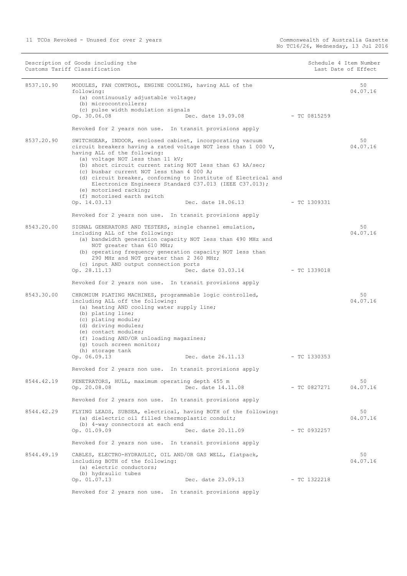| 8537.10.90<br>50<br>MODULES, FAN CONTROL, ENGINE COOLING, having ALL of the<br>04.07.16<br>following:<br>(a) continuously adjustable voltage;<br>(b) microcontrollers;<br>(c) pulse width modulation signals<br>Op. 30.06.08<br>Dec. date 19.09.08<br>- TC 0815259<br>Revoked for 2 years non use. In transit provisions apply<br>8537.20.90<br>SWITCHGEAR, INDOOR, enclosed cabinet, incorporating vacuum<br>50<br>04.07.16<br>circuit breakers having a rated voltage NOT less than 1 000 V,<br>having ALL of the following:<br>(a) voltage NOT less than 11 kV;<br>(b) short circuit current rating NOT less than 63 kA/sec;<br>(c) busbar current NOT less than 4 000 A;<br>(d) circuit breaker, conforming to Institute of Electrical and<br>Electronics Engineers Standard C37.013 (IEEE C37.013);<br>(e) motorised racking;<br>(f) motorised earth switch<br>Op. 14.03.13<br>Dec. date 18.06.13<br>$-TC1309331$<br>Revoked for 2 years non use. In transit provisions apply<br>8543.20.00<br>SIGNAL GENERATORS AND TESTERS, single channel emulation,<br>50<br>04.07.16<br>including ALL of the following:<br>(a) bandwidth generation capacity NOT less than 490 MHz and<br>NOT greater than 610 MHz;<br>(b) operating frequency generation capacity NOT less than<br>290 MHz and NOT greater than 2 360 MHz;<br>(c) input AND output connection ports<br>Op. 28.11.13<br>Dec. date 03.03.14<br>- TC 1339018<br>Revoked for 2 years non use. In transit provisions apply<br>8543.30.00<br>CHROMIUM PLATING MACHINES, programmable logic controlled,<br>50<br>04.07.16<br>including ALL off the following:<br>(a) heating AND cooling water supply line;<br>(b) plating line;<br>(c) plating module;<br>(d) driving modules;<br>(e) contact modules;<br>(f) loading AND/OR unloading magazines;<br>(q) touch screen monitor;<br>(h) storage tank<br>Op. 06.09.13<br>Dec. date 26.11.13<br>- TC 1330353<br>Revoked for 2 years non use. In transit provisions apply<br>8544.42.19<br>PENETRATORS, HULL, maximum operating depth 455 m<br>50<br>Op. 20.08.08<br>Dec. date 14.11.08<br>- TC 0827271<br>04.07.16<br>Revoked for 2 years non use. In transit provisions apply<br>8544.42.29<br>50<br>FLYING LEADS, SUBSEA, electrical, having BOTH of the following:<br>(a) dielectric oil filled thermoplastic conduit;<br>04.07.16<br>(b) 4-way connectors at each end<br>Op. 01.09.09<br>Dec. date 20.11.09<br>- TC 0932257<br>Revoked for 2 years non use. In transit provisions apply<br>8544.49.19<br>50<br>CABLES, ELECTRO-HYDRAULIC, OIL AND/OR GAS WELL, flatpack,<br>04.07.16<br>including BOTH of the following:<br>(a) electric conductors;<br>(b) hydraulic tubes<br>Op. 01.07.13<br>Dec. date 23.09.13<br>- TC 1322218 | Description of Goods including the<br>Customs Tariff Classification |  | Schedule 4 Item Number<br>Last Date of Effect |  |
|----------------------------------------------------------------------------------------------------------------------------------------------------------------------------------------------------------------------------------------------------------------------------------------------------------------------------------------------------------------------------------------------------------------------------------------------------------------------------------------------------------------------------------------------------------------------------------------------------------------------------------------------------------------------------------------------------------------------------------------------------------------------------------------------------------------------------------------------------------------------------------------------------------------------------------------------------------------------------------------------------------------------------------------------------------------------------------------------------------------------------------------------------------------------------------------------------------------------------------------------------------------------------------------------------------------------------------------------------------------------------------------------------------------------------------------------------------------------------------------------------------------------------------------------------------------------------------------------------------------------------------------------------------------------------------------------------------------------------------------------------------------------------------------------------------------------------------------------------------------------------------------------------------------------------------------------------------------------------------------------------------------------------------------------------------------------------------------------------------------------------------------------------------------------------------------------------------------------------------------------------------------------------------------------------------------------------------------------------------------------------------------------------------------------------------------------------------------------------------------------------------------------------------------------------------------------------------------------------------------------------------------------------------------------------------------------------------------------------------------|---------------------------------------------------------------------|--|-----------------------------------------------|--|
|                                                                                                                                                                                                                                                                                                                                                                                                                                                                                                                                                                                                                                                                                                                                                                                                                                                                                                                                                                                                                                                                                                                                                                                                                                                                                                                                                                                                                                                                                                                                                                                                                                                                                                                                                                                                                                                                                                                                                                                                                                                                                                                                                                                                                                                                                                                                                                                                                                                                                                                                                                                                                                                                                                                                        |                                                                     |  |                                               |  |
|                                                                                                                                                                                                                                                                                                                                                                                                                                                                                                                                                                                                                                                                                                                                                                                                                                                                                                                                                                                                                                                                                                                                                                                                                                                                                                                                                                                                                                                                                                                                                                                                                                                                                                                                                                                                                                                                                                                                                                                                                                                                                                                                                                                                                                                                                                                                                                                                                                                                                                                                                                                                                                                                                                                                        |                                                                     |  |                                               |  |
|                                                                                                                                                                                                                                                                                                                                                                                                                                                                                                                                                                                                                                                                                                                                                                                                                                                                                                                                                                                                                                                                                                                                                                                                                                                                                                                                                                                                                                                                                                                                                                                                                                                                                                                                                                                                                                                                                                                                                                                                                                                                                                                                                                                                                                                                                                                                                                                                                                                                                                                                                                                                                                                                                                                                        |                                                                     |  |                                               |  |
|                                                                                                                                                                                                                                                                                                                                                                                                                                                                                                                                                                                                                                                                                                                                                                                                                                                                                                                                                                                                                                                                                                                                                                                                                                                                                                                                                                                                                                                                                                                                                                                                                                                                                                                                                                                                                                                                                                                                                                                                                                                                                                                                                                                                                                                                                                                                                                                                                                                                                                                                                                                                                                                                                                                                        |                                                                     |  |                                               |  |
|                                                                                                                                                                                                                                                                                                                                                                                                                                                                                                                                                                                                                                                                                                                                                                                                                                                                                                                                                                                                                                                                                                                                                                                                                                                                                                                                                                                                                                                                                                                                                                                                                                                                                                                                                                                                                                                                                                                                                                                                                                                                                                                                                                                                                                                                                                                                                                                                                                                                                                                                                                                                                                                                                                                                        |                                                                     |  |                                               |  |
|                                                                                                                                                                                                                                                                                                                                                                                                                                                                                                                                                                                                                                                                                                                                                                                                                                                                                                                                                                                                                                                                                                                                                                                                                                                                                                                                                                                                                                                                                                                                                                                                                                                                                                                                                                                                                                                                                                                                                                                                                                                                                                                                                                                                                                                                                                                                                                                                                                                                                                                                                                                                                                                                                                                                        |                                                                     |  |                                               |  |
|                                                                                                                                                                                                                                                                                                                                                                                                                                                                                                                                                                                                                                                                                                                                                                                                                                                                                                                                                                                                                                                                                                                                                                                                                                                                                                                                                                                                                                                                                                                                                                                                                                                                                                                                                                                                                                                                                                                                                                                                                                                                                                                                                                                                                                                                                                                                                                                                                                                                                                                                                                                                                                                                                                                                        |                                                                     |  |                                               |  |
|                                                                                                                                                                                                                                                                                                                                                                                                                                                                                                                                                                                                                                                                                                                                                                                                                                                                                                                                                                                                                                                                                                                                                                                                                                                                                                                                                                                                                                                                                                                                                                                                                                                                                                                                                                                                                                                                                                                                                                                                                                                                                                                                                                                                                                                                                                                                                                                                                                                                                                                                                                                                                                                                                                                                        |                                                                     |  |                                               |  |
|                                                                                                                                                                                                                                                                                                                                                                                                                                                                                                                                                                                                                                                                                                                                                                                                                                                                                                                                                                                                                                                                                                                                                                                                                                                                                                                                                                                                                                                                                                                                                                                                                                                                                                                                                                                                                                                                                                                                                                                                                                                                                                                                                                                                                                                                                                                                                                                                                                                                                                                                                                                                                                                                                                                                        |                                                                     |  |                                               |  |
|                                                                                                                                                                                                                                                                                                                                                                                                                                                                                                                                                                                                                                                                                                                                                                                                                                                                                                                                                                                                                                                                                                                                                                                                                                                                                                                                                                                                                                                                                                                                                                                                                                                                                                                                                                                                                                                                                                                                                                                                                                                                                                                                                                                                                                                                                                                                                                                                                                                                                                                                                                                                                                                                                                                                        |                                                                     |  |                                               |  |
|                                                                                                                                                                                                                                                                                                                                                                                                                                                                                                                                                                                                                                                                                                                                                                                                                                                                                                                                                                                                                                                                                                                                                                                                                                                                                                                                                                                                                                                                                                                                                                                                                                                                                                                                                                                                                                                                                                                                                                                                                                                                                                                                                                                                                                                                                                                                                                                                                                                                                                                                                                                                                                                                                                                                        |                                                                     |  |                                               |  |
|                                                                                                                                                                                                                                                                                                                                                                                                                                                                                                                                                                                                                                                                                                                                                                                                                                                                                                                                                                                                                                                                                                                                                                                                                                                                                                                                                                                                                                                                                                                                                                                                                                                                                                                                                                                                                                                                                                                                                                                                                                                                                                                                                                                                                                                                                                                                                                                                                                                                                                                                                                                                                                                                                                                                        |                                                                     |  |                                               |  |
|                                                                                                                                                                                                                                                                                                                                                                                                                                                                                                                                                                                                                                                                                                                                                                                                                                                                                                                                                                                                                                                                                                                                                                                                                                                                                                                                                                                                                                                                                                                                                                                                                                                                                                                                                                                                                                                                                                                                                                                                                                                                                                                                                                                                                                                                                                                                                                                                                                                                                                                                                                                                                                                                                                                                        |                                                                     |  |                                               |  |
|                                                                                                                                                                                                                                                                                                                                                                                                                                                                                                                                                                                                                                                                                                                                                                                                                                                                                                                                                                                                                                                                                                                                                                                                                                                                                                                                                                                                                                                                                                                                                                                                                                                                                                                                                                                                                                                                                                                                                                                                                                                                                                                                                                                                                                                                                                                                                                                                                                                                                                                                                                                                                                                                                                                                        |                                                                     |  |                                               |  |
| Revoked for 2 years non use. In transit provisions apply                                                                                                                                                                                                                                                                                                                                                                                                                                                                                                                                                                                                                                                                                                                                                                                                                                                                                                                                                                                                                                                                                                                                                                                                                                                                                                                                                                                                                                                                                                                                                                                                                                                                                                                                                                                                                                                                                                                                                                                                                                                                                                                                                                                                                                                                                                                                                                                                                                                                                                                                                                                                                                                                               |                                                                     |  |                                               |  |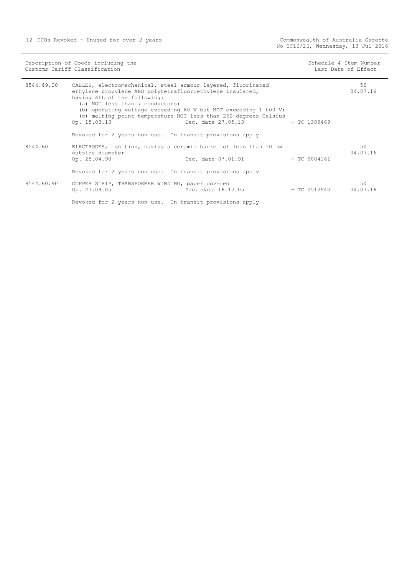12 TCOs Revoked - Unused for over 2 years

| Description of Goods including the<br>Customs Tariff Classification |                                                                                                                                                                                                                                                                                                                                                                          | Schedule 4 Item Number<br>Last Date of Effect |                         |                |
|---------------------------------------------------------------------|--------------------------------------------------------------------------------------------------------------------------------------------------------------------------------------------------------------------------------------------------------------------------------------------------------------------------------------------------------------------------|-----------------------------------------------|-------------------------|----------------|
| 8544.49.20                                                          | CABLES, electromechanical, steel armour layered, fluorinated<br>ethylene propylene AND polytetrafluoroethylene insulated,<br>having ALL of the following:<br>(a) NOT less than 7 conductors;<br>(b) operating voltage exceeding 80 V but NOT exceeding 1 000 V;<br>(c) melting point temperature NOT less than 260 degrees Celsius<br>Dec. date 27.05.13<br>Op. 15.03.13 |                                               | $-$ TC 1309469          | 50<br>04.07.16 |
| 8544.60                                                             | Revoked for 2 years non use. In transit provisions apply<br>ELECTRODES, ignition, having a ceramic barrel of less than 10 mm<br>outside diameter                                                                                                                                                                                                                         |                                               |                         | 50<br>04.07.16 |
|                                                                     | Op. 25.04.90<br>Revoked for 2 years non use. In transit provisions apply                                                                                                                                                                                                                                                                                                 | Dec. date 07.01.91                            | $-$ TC 9004161          |                |
| 8544.60.90                                                          | COPPER STRIP, TRANSFORMER WINDING, paper covered<br>Op. 27.09.05                                                                                                                                                                                                                                                                                                         | Dec. date 16.12.05                            | $-$ TC 0512940 04.07.16 | 50             |

Revoked for 2 years non use. In transit provisions apply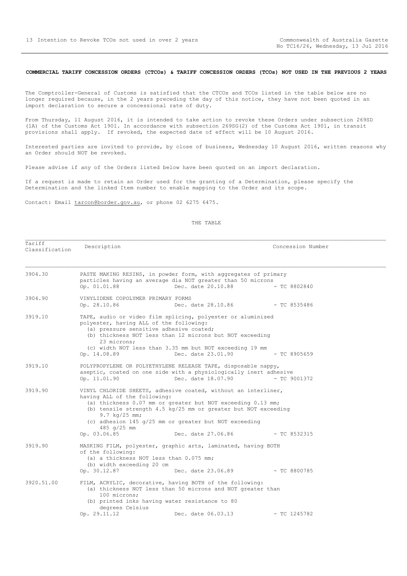## <span id="page-12-0"></span>**COMMERCIAL TARIFF CONCESSION ORDERS (CTCOs) & TARIFF CONCESSION ORDERS (TCOs) NOT USED IN THE PREVIOUS 2 YEARS**

The Comptroller-General of Customs is satisfied that the CTCOs and TCOs listed in the table below are no longer required because, in the 2 years preceding the day of this notice, they have not been quoted in an import declaration to secure a concessional rate of duty.

From Thursday, 11 August 2016, it is intended to take action to revoke these Orders under subsection 269SD (1A) of the Customs Act 1901. In accordance with subsection 269SG(2) of the Customs Act 1901, in transit provisions shall apply. If revoked, the expected date of effect will be 10 August 2016.

Interested parties are invited to provide, by close of business, Wednesday 10 August 2016, written reasons why an Order should NOT be revoked.

Please advise if any of the Orders listed below have been quoted on an import declaration.

Classification Description Concession Number

If a request is made to retain an Order used for the granting of a Determination, please specify the Determination and the linked Item number to enable mapping to the Order and its scope.

Contact: Email tarcon@border.gov.au, or phone 02 6275 6475.

Tariff

| 3904.30    | Op. 01.01.88                                                                     | PASTE MAKING RESINS, in powder form, with aggregates of primary<br>particles having an average dia NOT greater than 50 microns<br>Dec. date 20.10.88 - TC 8802840                                                                                                                             |                |  |
|------------|----------------------------------------------------------------------------------|-----------------------------------------------------------------------------------------------------------------------------------------------------------------------------------------------------------------------------------------------------------------------------------------------|----------------|--|
| 3904.90    | VINYLIDENE COPOLYMER PRIMARY FORMS                                               |                                                                                                                                                                                                                                                                                               |                |  |
| 3919.10    | polyester, having ALL of the following:<br>23 microns;<br>Op. 14.08.89           | TAPE, audio or video film splicing, polyester or aluminised<br>(a) pressure sensitive adhesive coated;<br>(b) thickness NOT less than 12 microns but NOT exceeding<br>(c) width NOT less than 3.35 mm but NOT exceeding 19 mm<br>Dec. date 23.01.90 - TC 8905659                              |                |  |
| 3919.10    | Op. 11.01.90                                                                     | POLYPROPYLENE OR POLYETHYLENE RELEASE TAPE, disposable nappy,<br>aseptic, coated on one side with a physiologically inert adhesive<br>Dec. date 18.07.90 - TC 9001372                                                                                                                         |                |  |
| 3919.90    | having ALL of the following:<br>9.7 $kq/25$ mm;<br>485 $q/25$ mm<br>Op. 03.06.85 | VINYL CHLORIDE SHEETS, adhesive coated, without an interliner,<br>(a) thickness 0.07 mm or greater but NOT exceeding 0.13 mm;<br>(b) tensile strength 4.5 kg/25 mm or greater but NOT exceeding<br>(c) adhesion 145 $q/25$ mm or greater but NOT exceeding<br>Dec. date 27.06.86 - TC 8532315 |                |  |
| 3919.90    | of the following:<br>(b) width exceeding 20 cm                                   | MASKING FILM, polyester, graphic arts, laminated, having BOTH<br>(a) a thickness NOT less than 0.075 mm;                                                                                                                                                                                      |                |  |
| 3920.51.00 | Op. 30.12.87<br>100 microns;<br>degrees Celsius<br>Op. 29.11.12                  | Dec. date 23.06.89 - TC 8800785<br>FILM, ACRYLIC, decorative, having BOTH of the following:<br>(a) thickness NOT less than 50 microns and NOT greater than<br>(b) printed inks having water resistance to 80<br>Dec. date 06.03.13                                                            |                |  |
|            |                                                                                  |                                                                                                                                                                                                                                                                                               | $-$ TC 1245782 |  |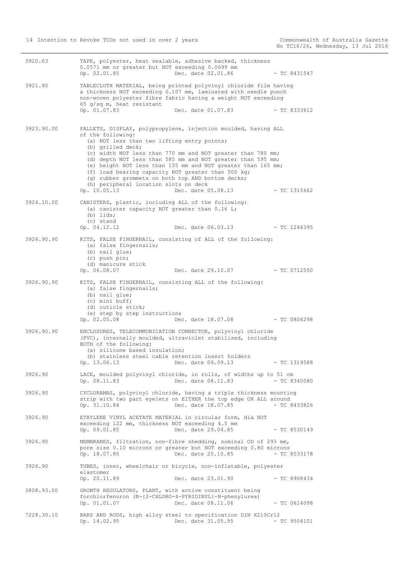| Dec. date 02.01.86<br>Op. 02.01.85<br>3921.90<br>TABLECLOTH MATERIAL, being printed polyvinyl chloride film having<br>a thickness NOT exceeding 0.107 mm, laminated with needle punch<br>non-woven polyester fibre fabric having a weight NOT exceeding<br>65 $q/sq$ m, heat resistant<br>Op. 01.07.83<br>Dec. date 01.07.83<br>3923.90.00<br>PALLETS, DISPLAY, polypropylene, injection moulded, having ALL<br>of the following:<br>(a) NOT less than two lifting entry points;<br>(b) grilled deck;<br>(c) width NOT less than 770 mm and NOT greater than 780 mm;<br>(d) depth NOT less than 585 mm and NOT greater than 595 mm;<br>(e) height NOT less than 155 mm and NOT greater than 165 mm;<br>(f) load bearing capacity NOT greater than 500 kg;<br>(g) rubber grommets on both top AND bottom decks;<br>(h) peripheral location slots on deck<br>Op. 10.05.13<br>Dec. date 05.08.13<br>3924.10.00<br>CANISTERS, plastic, including ALL of the following:<br>(a) canister capacity NOT greater than 0.16 L; | $-$ TC 8431547<br>- TC 8333612<br>$-$ TC 1315662 |
|----------------------------------------------------------------------------------------------------------------------------------------------------------------------------------------------------------------------------------------------------------------------------------------------------------------------------------------------------------------------------------------------------------------------------------------------------------------------------------------------------------------------------------------------------------------------------------------------------------------------------------------------------------------------------------------------------------------------------------------------------------------------------------------------------------------------------------------------------------------------------------------------------------------------------------------------------------------------------------------------------------------------|--------------------------------------------------|
|                                                                                                                                                                                                                                                                                                                                                                                                                                                                                                                                                                                                                                                                                                                                                                                                                                                                                                                                                                                                                      |                                                  |
|                                                                                                                                                                                                                                                                                                                                                                                                                                                                                                                                                                                                                                                                                                                                                                                                                                                                                                                                                                                                                      |                                                  |
|                                                                                                                                                                                                                                                                                                                                                                                                                                                                                                                                                                                                                                                                                                                                                                                                                                                                                                                                                                                                                      |                                                  |
|                                                                                                                                                                                                                                                                                                                                                                                                                                                                                                                                                                                                                                                                                                                                                                                                                                                                                                                                                                                                                      |                                                  |
| $(b)$ lids;<br>(c) stand<br>Op. 04.12.12<br>Dec. date 06.03.13                                                                                                                                                                                                                                                                                                                                                                                                                                                                                                                                                                                                                                                                                                                                                                                                                                                                                                                                                       | - TC 1246395                                     |
| 3926.90.90<br>KITS, FALSE FINGERNAIL, consisting of ALL of the following:<br>(a) false fingernails;<br>(b) nail glue;<br>(c) push pin;<br>(d) manicure stick<br>Dec. date 29.10.07<br>Op. 06.08.07                                                                                                                                                                                                                                                                                                                                                                                                                                                                                                                                                                                                                                                                                                                                                                                                                   | - TC 0712550                                     |
| 3926.90.90<br>KITS, FALSE FINGERNAIL, consisting ALL of the following:<br>(a) false fingernails;<br>(b) nail glue;<br>(c) mini buff;<br>(d) cuticle stick;<br>(e) step by step instructions<br>Op. 02.05.08<br>Dec. date 18.07.08 - TC 0806298                                                                                                                                                                                                                                                                                                                                                                                                                                                                                                                                                                                                                                                                                                                                                                       |                                                  |
| 3926.90.90<br>ENCLOSURES, TELECOMMUNICATION CONNECTOR, polyvinyl chloride<br>(PVC), internally moulded, ultraviolet stabilised, including<br>BOTH of the following:<br>(a) silicone based insulation;<br>(b) stainless steel cable retention insert holders<br>Op. 13.06.13<br>Dec. date 09.09.13                                                                                                                                                                                                                                                                                                                                                                                                                                                                                                                                                                                                                                                                                                                    | $-$ TC 1319588                                   |
| 3926.90<br>LACE, moulded polyvinyl chloride, in rolls, of widths up to 51 cm<br>Dec. date 08.11.83<br>Op. 08.11.83                                                                                                                                                                                                                                                                                                                                                                                                                                                                                                                                                                                                                                                                                                                                                                                                                                                                                                   | $- TC 8340080$                                   |
| 3926.90<br>CYCLORAMAS, polyvinyl chloride, having a triple thickness mounting<br>strip with two part eyelets on EITHER the top edge OR ALL around<br>Dec. date 18.07.85<br>Op. 31.10.84                                                                                                                                                                                                                                                                                                                                                                                                                                                                                                                                                                                                                                                                                                                                                                                                                              | $- TC 8433826$                                   |
| 3926.90<br>ETHYLENE VINYL ACETATE MATERIAL in circular form, dia NOT<br>exceeding 122 mm, thickness NOT exceeding 4.5 mm<br>Dec. date 29.04.85<br>Op. 09.01.85                                                                                                                                                                                                                                                                                                                                                                                                                                                                                                                                                                                                                                                                                                                                                                                                                                                       | $-$ TC 8530149                                   |
| MEMBRANES, filtration, non-fibre shedding, nominal OD of 293 mm,<br>3926.90<br>pore size 0.10 microns or greater but NOT exceeding 0.80 microns<br>Dec. date 25.10.85<br>Op. 18.07.85                                                                                                                                                                                                                                                                                                                                                                                                                                                                                                                                                                                                                                                                                                                                                                                                                                | $-$ TC 8533178                                   |
| 3926.90<br>TUBES, inner, wheelchair or bicycle, non-inflatable, polyester<br>elastomer<br>Op. 20.11.89<br>Dec. date 23.01.90                                                                                                                                                                                                                                                                                                                                                                                                                                                                                                                                                                                                                                                                                                                                                                                                                                                                                         | $-$ TC 8908434                                   |
| GROWTH REGULATORS, PLANT, with active constituent being<br>3808.93.00<br>forchlorfenuron (N-{2-CHLORO-4-PYRIDINYL}-N-phenylurea)<br>Op. 01.01.07<br>Dec. date 08.11.06                                                                                                                                                                                                                                                                                                                                                                                                                                                                                                                                                                                                                                                                                                                                                                                                                                               |                                                  |
| BARS AND RODS, high alloy steel to specification DIN X210Cr12<br>7228.30.10<br>Op. 14.02.95<br>Dec. date 31.05.95<br>$-$ TC 9504101                                                                                                                                                                                                                                                                                                                                                                                                                                                                                                                                                                                                                                                                                                                                                                                                                                                                                  | $-$ TC 0614098                                   |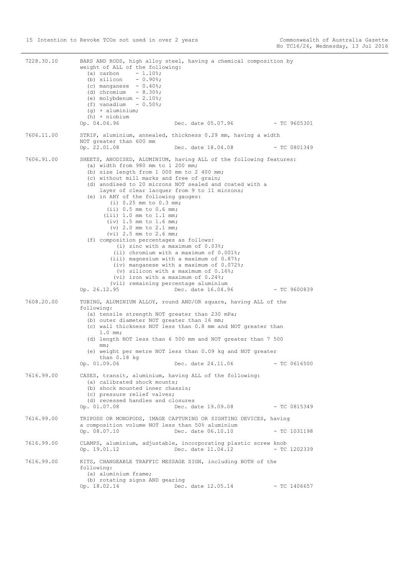7228.30.10 BARS AND RODS, high alloy steel, having a chemical composition by weight of ALL of the following: (a) carbon (a) carbon  $- 1.10^{\circ}$ ;<br>(b) silicon  $- 0.90^{\circ}$ ; (c) manganese  $-0.40\%$ ; (d) chromium  $-8.30$ %; (e) molybdenum -  $2.10$ %; (f) vanadium  $-0.50$ %;  $(a)$  + aluminium; (h) + niobium<br>Op.  $04.04.96$ Dec. date 05.07.96 - TC 9605301 7606.11.00 STRIP, aluminium, annealed, thickness 0.29 mm, having a width NOT greater than 600 mm Op. 22.01.08 Dec. date 18.04.08 - TC 0801349 7606.91.00 SHEETS, ANODISED, ALUMINIUM, having ALL of the following features: (a) width from 980 mm to 1 200 mm; (b) size length from 1 000 mm to 2 400 mm; (c) without mill marks and free of grain; (d) anodised to 20 microns NOT sealed and coated with a layer of clear lacquer from 9 to 11 microns; (e) in ANY of the following gauges: (i) 0.25 mm to 0.3 mm; (ii) 0.5 mm to 0.6 mm; (iii) 1.0 mm to 1.1 mm; (iv) 1.5 mm to 1.6 mm; (v) 2.0 mm to 2.1 mm; (vi) 2.5 mm to 2.6 mm; (f) composition percentages as follows: (i) zinc with a maximum of 0.03%; (ii) chromium with a maximum of 0.001%; (iii) magnesium with a maximum of 0.87%; (iv) manganese with a maximum of 0.072%; (v) silicon with a maximum of 0.16%; (vi) iron with a maximum of 0.24%; (vii) remaining percentage aluminium<br>Op. 26.12.95 Dec. date 16.04. Dec. date 16.04.96 - TC 9600839 7608.20.00 TUBING, ALUMINIUM ALLOY, round AND/OR square, having ALL of the following: (a) tensile strength NOT greater than 230 mPa; (b) outer diameter NOT greater than 16 mm; (c) wall thickness NOT less than 0.8 mm and NOT greater than 1.0 mm; (d) length NOT less than 6 500 mm and NOT greater than 7 500 mm; (e) weight per metre NOT less than 0.09 kg and NOT greater than 0.18 kg Op. 01.09.06 Dec. date 24.11.06 - TC 0616500 7616.99.00 CASES, transit, aluminium, having ALL of the following: (a) calibrated shock mounts; (b) shock mounted inner chassis; (c) pressure relief valves; (d) recessed handles and closures<br>Op. 01.07.08 Dec. da Dec. date 19.09.08 - TC 0815349 7616.99.00 TRIPODS OR MONOPODS, IMAGE CAPTURING OR SIGHTING DEVICES, having a composition volume NOT less than 50% aluminium Op. 08.07.10 Dec. date 06.10.10 - TC 1031198 7616.99.00 CLAMPS, aluminium, adjustable, incorporating plastic screw knob Op. 19.01.12 Dec. date 11.04.12 - TC 1202339 7616.99.00 KITS, CHANGEABLE TRAFFIC MESSAGE SIGN, including BOTH of the following: (a) aluminium frame; (b) rotating signs AND gearing<br>Op. 18.02.14 Dec. Dec. date 12.05.14 - TC 1406657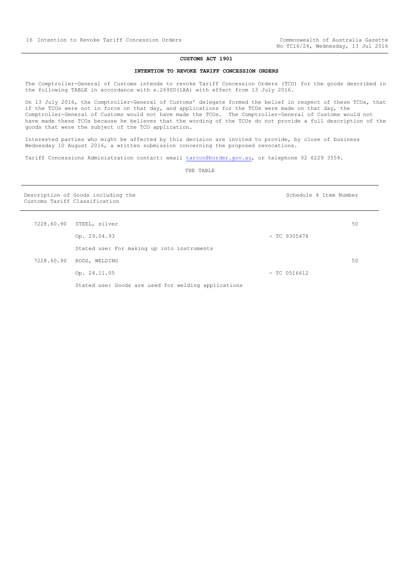#### **CUSTOMS ACT 1901**

# **INTENTION TO REVOKE TARIFF CONCESSION ORDERS**

<span id="page-15-0"></span>The Comptroller-General of Customs intends to revoke Tariff Concession Orders (TCO) for the goods described in the following TABLE in accordance with s.269SD(1AA) with effect from 13 July 2016.

On 13 July 2016, the Comptroller-General of Customs' delegate formed the belief in respect of these TCOs, that if the TCOs were not in force on that day, and applications for the TCOs were made on that day, the Comptroller-General of Customs would not have made the TCOs. The Comptroller-General of Customs would not have made these TCOs because he believes that the wording of the TCOs do not provide a full description of the goods that were the subject of the TCO application.

Interested parties who might be affected by this decision are invited to provide, by close of business Wednesday 10 August 2016, a written submission concerning the proposed revocations.

Tariff Concessions Administration contact: email [tarcon@border.gov.au,](mailto:tarcon@border.gov.au) or telephone 02 6229 3559.

| Description of Goods including the<br>Customs Tariff Classification |                                                     | Schedule 4 Item Number |    |  |
|---------------------------------------------------------------------|-----------------------------------------------------|------------------------|----|--|
|                                                                     | 7228.60.90 STEEL, silver                            |                        | 50 |  |
|                                                                     | Op. 29.04.93                                        | $-$ TC 9305478         |    |  |
|                                                                     | Stated use: For making up into instruments          |                        |    |  |
|                                                                     | 7228.60.90 RODS, WELDING                            |                        | 50 |  |
|                                                                     | Op. 24.11.05                                        | $-$ TC 0516612         |    |  |
|                                                                     | Stated use: Goods are used for welding applications |                        |    |  |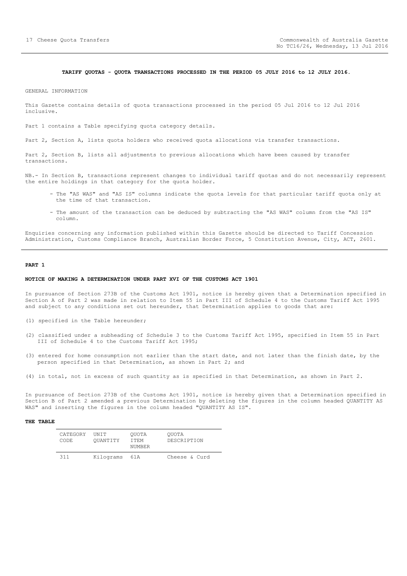#### **TARIFF QUOTAS - QUOTA TRANSACTIONS PROCESSED IN THE PERIOD 05 JULY 2016 to 12 JULY 2016.**

<span id="page-16-0"></span>GENERAL INFORMATION

This Gazette contains details of quota transactions processed in the period 05 Jul 2016 to 12 Jul 2016 inclusive.

Part 1 contains a Table specifying quota category details.

Part 2, Section A, lists quota holders who received quota allocations via transfer transactions.

Part 2, Section B, lists all adjustments to previous allocations which have been caused by transfer transactions.

NB.- In Section B, transactions represent changes to individual tariff quotas and do not necessarily represent the entire holdings in that category for the quota holder.

- The "AS WAS" and "AS IS" columns indicate the quota levels for that particular tariff quota only at the time of that transaction.
- The amount of the transaction can be deduced by subtracting the "AS WAS" column from the "AS IS" column.

Enquiries concerning any information published within this Gazette should be directed to Tariff Concession Administration, Customs Compliance Branch, Australian Border Force, 5 Constitution Avenue, City, ACT, 2601.

## **PART 1**

#### **NOTICE OF MAKING A DETERMINATION UNDER PART XVI OF THE CUSTOMS ACT 1901**

In pursuance of Section 273B of the Customs Act 1901, notice is hereby given that a Determination specified in Section A of Part 2 was made in relation to Item 55 in Part III of Schedule 4 to the Customs Tariff Act 1995 and subject to any conditions set out hereunder, that Determination applies to goods that are:

- (1) specified in the Table hereunder;
- (2) classified under a subheading of Schedule 3 to the Customs Tariff Act 1995, specified in Item 55 in Part III of Schedule 4 to the Customs Tariff Act 1995;
- (3) entered for home consumption not earlier than the start date, and not later than the finish date, by the person specified in that Determination, as shown in Part 2; and
- (4) in total, not in excess of such quantity as is specified in that Determination, as shown in Part 2.

In pursuance of Section 273B of the Customs Act 1901, notice is hereby given that a Determination specified in Section B of Part 2 amended a previous Determination by deleting the figures in the column headed QUANTITY AS WAS" and inserting the figures in the column headed "QUANTITY AS IS".

| CATEGORY<br>CODE. | <b>TINT T</b><br>OUANTITY | OUOTA<br>TTEM<br>NUMBER | OUOTA<br>DESCRIPTION |
|-------------------|---------------------------|-------------------------|----------------------|
| 311               | Kilograms                 | 61 A                    | Cheese & Curd        |